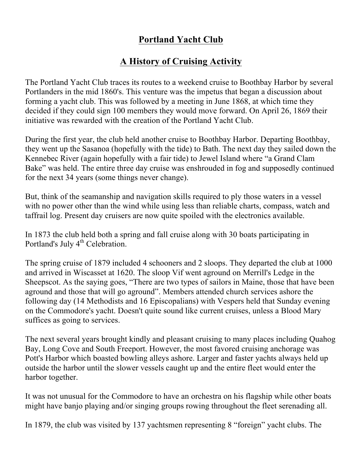## **Portland Yacht Club**

## **A History of Cruising Activity**

The Portland Yacht Club traces its routes to a weekend cruise to Boothbay Harbor by several Portlanders in the mid 1860's. This venture was the impetus that began a discussion about forming a yacht club. This was followed by a meeting in June 1868, at which time they decided if they could sign 100 members they would move forward. On April 26, 1869 their initiative was rewarded with the creation of the Portland Yacht Club.

During the first year, the club held another cruise to Boothbay Harbor. Departing Boothbay, they went up the Sasanoa (hopefully with the tide) to Bath. The next day they sailed down the Kennebec River (again hopefully with a fair tide) to Jewel Island where "a Grand Clam Bake" was held. The entire three day cruise was enshrouded in fog and supposedly continued for the next 34 years (some things never change).

But, think of the seamanship and navigation skills required to ply those waters in a vessel with no power other than the wind while using less than reliable charts, compass, watch and taffrail log. Present day cruisers are now quite spoiled with the electronics available.

In 1873 the club held both a spring and fall cruise along with 30 boats participating in Portland's July 4<sup>th</sup> Celebration.

The spring cruise of 1879 included 4 schooners and 2 sloops. They departed the club at 1000 and arrived in Wiscasset at 1620. The sloop Vif went aground on Merrill's Ledge in the Sheepscot. As the saying goes, "There are two types of sailors in Maine, those that have been aground and those that will go aground". Members attended church services ashore the following day (14 Methodists and 16 Episcopalians) with Vespers held that Sunday evening on the Commodore's yacht. Doesn't quite sound like current cruises, unless a Blood Mary suffices as going to services.

The next several years brought kindly and pleasant cruising to many places including Quahog Bay, Long Cove and South Freeport. However, the most favored cruising anchorage was Pott's Harbor which boasted bowling alleys ashore. Larger and faster yachts always held up outside the harbor until the slower vessels caught up and the entire fleet would enter the harbor together.

It was not unusual for the Commodore to have an orchestra on his flagship while other boats might have banjo playing and/or singing groups rowing throughout the fleet serenading all.

In 1879, the club was visited by 137 yachtsmen representing 8 "foreign" yacht clubs. The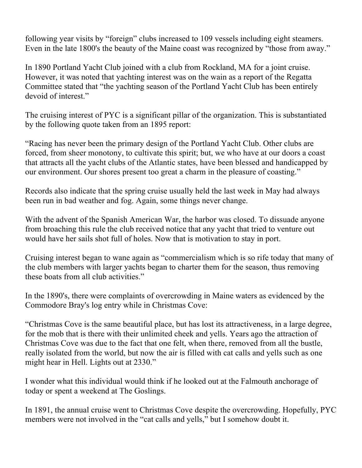following year visits by "foreign" clubs increased to 109 vessels including eight steamers. Even in the late 1800's the beauty of the Maine coast was recognized by "those from away."

In 1890 Portland Yacht Club joined with a club from Rockland, MA for a joint cruise. However, it was noted that yachting interest was on the wain as a report of the Regatta Committee stated that "the yachting season of the Portland Yacht Club has been entirely devoid of interest."

The cruising interest of PYC is a significant pillar of the organization. This is substantiated by the following quote taken from an 1895 report:

"Racing has never been the primary design of the Portland Yacht Club. Other clubs are forced, from sheer monotony, to cultivate this spirit; but, we who have at our doors a coast that attracts all the yacht clubs of the Atlantic states, have been blessed and handicapped by our environment. Our shores present too great a charm in the pleasure of coasting."

Records also indicate that the spring cruise usually held the last week in May had always been run in bad weather and fog. Again, some things never change.

With the advent of the Spanish American War, the harbor was closed. To dissuade anyone from broaching this rule the club received notice that any yacht that tried to venture out would have her sails shot full of holes. Now that is motivation to stay in port.

Cruising interest began to wane again as "commercialism which is so rife today that many of the club members with larger yachts began to charter them for the season, thus removing these boats from all club activities."

In the 1890's, there were complaints of overcrowding in Maine waters as evidenced by the Commodore Bray's log entry while in Christmas Cove:

"Christmas Cove is the same beautiful place, but has lost its attractiveness, in a large degree, for the mob that is there with their unlimited cheek and yells. Years ago the attraction of Christmas Cove was due to the fact that one felt, when there, removed from all the bustle, really isolated from the world, but now the air is filled with cat calls and yells such as one might hear in Hell. Lights out at 2330."

I wonder what this individual would think if he looked out at the Falmouth anchorage of today or spent a weekend at The Goslings.

In 1891, the annual cruise went to Christmas Cove despite the overcrowding. Hopefully, PYC members were not involved in the "cat calls and yells," but I somehow doubt it.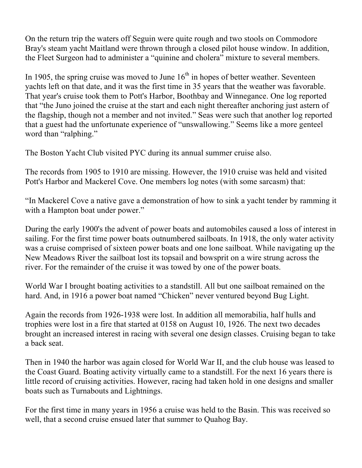On the return trip the waters off Seguin were quite rough and two stools on Commodore Bray's steam yacht Maitland were thrown through a closed pilot house window. In addition, the Fleet Surgeon had to administer a "quinine and cholera" mixture to several members.

In 1905, the spring cruise was moved to June  $16<sup>th</sup>$  in hopes of better weather. Seventeen yachts left on that date, and it was the first time in 35 years that the weather was favorable. That year's cruise took them to Pott's Harbor, Boothbay and Winnegance. One log reported that "the Juno joined the cruise at the start and each night thereafter anchoring just astern of the flagship, though not a member and not invited." Seas were such that another log reported that a guest had the unfortunate experience of "unswallowing." Seems like a more genteel word than "ralphing."

The Boston Yacht Club visited PYC during its annual summer cruise also.

The records from 1905 to 1910 are missing. However, the 1910 cruise was held and visited Pott's Harbor and Mackerel Cove. One members log notes (with some sarcasm) that:

"In Mackerel Cove a native gave a demonstration of how to sink a yacht tender by ramming it with a Hampton boat under power."

During the early 1900's the advent of power boats and automobiles caused a loss of interest in sailing. For the first time power boats outnumbered sailboats. In 1918, the only water activity was a cruise comprised of sixteen power boats and one lone sailboat. While navigating up the New Meadows River the sailboat lost its topsail and bowsprit on a wire strung across the river. For the remainder of the cruise it was towed by one of the power boats.

World War I brought boating activities to a standstill. All but one sailboat remained on the hard. And, in 1916 a power boat named "Chicken" never ventured beyond Bug Light.

Again the records from 1926-1938 were lost. In addition all memorabilia, half hulls and trophies were lost in a fire that started at 0158 on August 10, 1926. The next two decades brought an increased interest in racing with several one design classes. Cruising began to take a back seat.

Then in 1940 the harbor was again closed for World War II, and the club house was leased to the Coast Guard. Boating activity virtually came to a standstill. For the next 16 years there is little record of cruising activities. However, racing had taken hold in one designs and smaller boats such as Turnabouts and Lightnings.

For the first time in many years in 1956 a cruise was held to the Basin. This was received so well, that a second cruise ensued later that summer to Quahog Bay.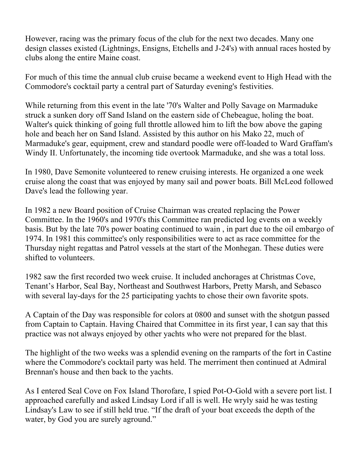However, racing was the primary focus of the club for the next two decades. Many one design classes existed (Lightnings, Ensigns, Etchells and J-24's) with annual races hosted by clubs along the entire Maine coast.

For much of this time the annual club cruise became a weekend event to High Head with the Commodore's cocktail party a central part of Saturday evening's festivities.

While returning from this event in the late '70's Walter and Polly Savage on Marmaduke struck a sunken dory off Sand Island on the eastern side of Chebeague, holing the boat. Walter's quick thinking of going full throttle allowed him to lift the bow above the gaping hole and beach her on Sand Island. Assisted by this author on his Mako 22, much of Marmaduke's gear, equipment, crew and standard poodle were off-loaded to Ward Graffam's Windy II. Unfortunately, the incoming tide overtook Marmaduke, and she was a total loss.

In 1980, Dave Semonite volunteered to renew cruising interests. He organized a one week cruise along the coast that was enjoyed by many sail and power boats. Bill McLeod followed Dave's lead the following year.

In 1982 a new Board position of Cruise Chairman was created replacing the Power Committee. In the 1960's and 1970's this Committee ran predicted log events on a weekly basis. But by the late 70's power boating continued to wain , in part due to the oil embargo of 1974. In 1981 this committee's only responsibilities were to act as race committee for the Thursday night regattas and Patrol vessels at the start of the Monhegan. These duties were shifted to volunteers.

1982 saw the first recorded two week cruise. It included anchorages at Christmas Cove, Tenant's Harbor, Seal Bay, Northeast and Southwest Harbors, Pretty Marsh, and Sebasco with several lay-days for the 25 participating yachts to chose their own favorite spots.

A Captain of the Day was responsible for colors at 0800 and sunset with the shotgun passed from Captain to Captain. Having Chaired that Committee in its first year, I can say that this practice was not always enjoyed by other yachts who were not prepared for the blast.

The highlight of the two weeks was a splendid evening on the ramparts of the fort in Castine where the Commodore's cocktail party was held. The merriment then continued at Admiral Brennan's house and then back to the yachts.

As I entered Seal Cove on Fox Island Thorofare, I spied Pot-O-Gold with a severe port list. I approached carefully and asked Lindsay Lord if all is well. He wryly said he was testing Lindsay's Law to see if still held true. "If the draft of your boat exceeds the depth of the water, by God you are surely aground."